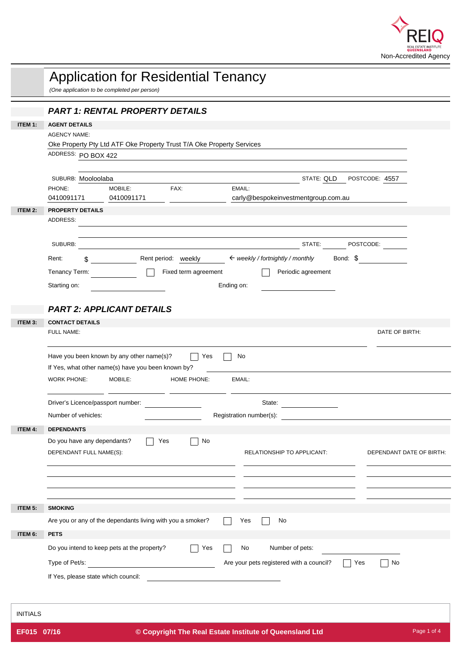

|                 | <b>Application for Residential Tenancy</b><br>(One application to be completed per person)                                                                                                                            |
|-----------------|-----------------------------------------------------------------------------------------------------------------------------------------------------------------------------------------------------------------------|
|                 | <b>PART 1: RENTAL PROPERTY DETAILS</b>                                                                                                                                                                                |
| ITEM 1:         | <b>AGENT DETAILS</b>                                                                                                                                                                                                  |
|                 | <b>AGENCY NAME:</b>                                                                                                                                                                                                   |
|                 | Oke Property Pty Ltd ATF Oke Property Trust T/A Oke Property Services<br>ADDRESS: PO BOX 422                                                                                                                          |
|                 |                                                                                                                                                                                                                       |
|                 | STATE: QLD POSTCODE: 4557<br>SUBURB: Mooloolaba                                                                                                                                                                       |
|                 | EMAIL:<br>PHONE:<br>MOBILE:<br>FAX:                                                                                                                                                                                   |
|                 | 0410091171<br>0410091171<br>carly@bespokeinvestmentgroup.com.au                                                                                                                                                       |
| ITEM 2:         | <b>PROPERTY DETAILS</b><br>ADDRESS:                                                                                                                                                                                   |
|                 |                                                                                                                                                                                                                       |
|                 | SUBURB:<br>STATE: POSTCODE:                                                                                                                                                                                           |
|                 | Rent period: weekly<br>$\leftarrow$ weekly / fortnightly / monthly<br>Bond: \$<br>Rent:<br>\$                                                                                                                         |
|                 | Fixed term agreement<br>Periodic agreement<br>Tenancy Term:                                                                                                                                                           |
|                 | Starting on:<br>Ending on:                                                                                                                                                                                            |
|                 |                                                                                                                                                                                                                       |
|                 | <b>PART 2: APPLICANT DETAILS</b>                                                                                                                                                                                      |
| ITEM 3:         | <b>CONTACT DETAILS</b>                                                                                                                                                                                                |
|                 | FULL NAME:<br>DATE OF BIRTH:                                                                                                                                                                                          |
|                 | Have you been known by any other name(s)?<br>Yes<br>No<br>If Yes, what other name(s) have you been known by?<br><b>WORK PHONE:</b><br>MOBILE:<br>HOME PHONE:<br>EMAIL:<br>Driver's Licence/passport number:<br>State: |
|                 | Number of vehicles:<br>Registration number(s):                                                                                                                                                                        |
| ITEM 4:         | <b>DEPENDANTS</b>                                                                                                                                                                                                     |
|                 | Do you have any dependants?<br>No<br>Yes<br>$\sim 10$                                                                                                                                                                 |
|                 | DEPENDANT FULL NAME(S):<br>RELATIONSHIP TO APPLICANT:<br>DEPENDANT DATE OF BIRTH:                                                                                                                                     |
|                 |                                                                                                                                                                                                                       |
|                 |                                                                                                                                                                                                                       |
|                 |                                                                                                                                                                                                                       |
| ITEM 5:         | <b>SMOKING</b>                                                                                                                                                                                                        |
|                 | Are you or any of the dependants living with you a smoker?<br>Yes<br>No                                                                                                                                               |
| ITEM 6:         | <b>PETS</b>                                                                                                                                                                                                           |
|                 | Do you intend to keep pets at the property?<br>Number of pets:<br>Yes<br>No                                                                                                                                           |
|                 | Are your pets registered with a council?<br>Type of Pet/s:<br><u> 1980 - John Stein, Amerikaansk politiker (</u><br>Yes<br>No                                                                                         |
|                 | If Yes, please state which council:                                                                                                                                                                                   |
|                 |                                                                                                                                                                                                                       |
|                 |                                                                                                                                                                                                                       |
| <b>INITIALS</b> |                                                                                                                                                                                                                       |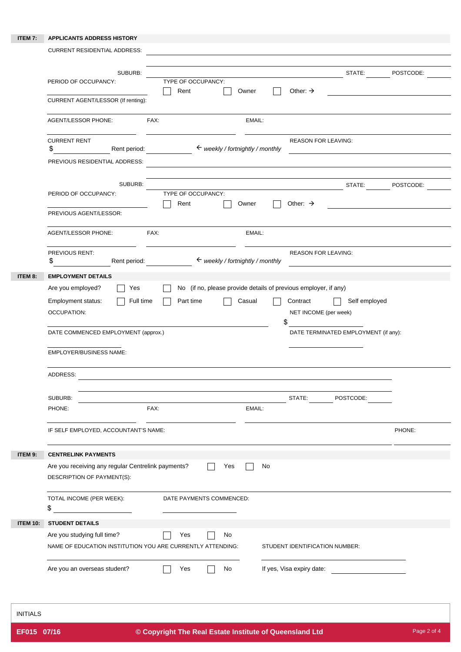## **ITEM 7: APPLICANTS ADDRESS HISTORY**

|                 | <b>CURRENT RESIDENTIAL ADDRESS:</b>                                                                                                                                                                                                        |                                                                           |           |
|-----------------|--------------------------------------------------------------------------------------------------------------------------------------------------------------------------------------------------------------------------------------------|---------------------------------------------------------------------------|-----------|
|                 |                                                                                                                                                                                                                                            |                                                                           |           |
|                 | SUBURB:<br>PERIOD OF OCCUPANCY:                                                                                                                                                                                                            | STATE:<br>TYPE OF OCCUPANCY:                                              | POSTCODE: |
|                 |                                                                                                                                                                                                                                            | Other: $\rightarrow$<br>Rent<br>Owner                                     |           |
|                 | CURRENT AGENT/LESSOR (If renting):                                                                                                                                                                                                         |                                                                           |           |
|                 | <b>AGENT/LESSOR PHONE:</b>                                                                                                                                                                                                                 | FAX:<br>EMAIL:                                                            |           |
|                 |                                                                                                                                                                                                                                            |                                                                           |           |
|                 | <b>CURRENT RENT</b><br>\$<br>Rent period:                                                                                                                                                                                                  | <b>REASON FOR LEAVING:</b><br>$\leftarrow$ weekly / fortnightly / monthly |           |
|                 | PREVIOUS RESIDENTIAL ADDRESS:                                                                                                                                                                                                              |                                                                           |           |
|                 |                                                                                                                                                                                                                                            |                                                                           |           |
|                 | SUBURB:                                                                                                                                                                                                                                    | STATE:                                                                    | POSTCODE: |
|                 | PERIOD OF OCCUPANCY:                                                                                                                                                                                                                       | TYPE OF OCCUPANCY:<br>Other: $\rightarrow$<br>Rent<br>Owner               |           |
|                 | PREVIOUS AGENT/LESSOR:                                                                                                                                                                                                                     |                                                                           |           |
|                 |                                                                                                                                                                                                                                            |                                                                           |           |
|                 | <b>AGENT/LESSOR PHONE:</b>                                                                                                                                                                                                                 | FAX:<br>EMAIL:                                                            |           |
|                 | PREVIOUS RENT:                                                                                                                                                                                                                             | <b>REASON FOR LEAVING:</b>                                                |           |
|                 | Rent period:<br>\$                                                                                                                                                                                                                         | $\leftarrow$ weekly / fortnightly / monthly                               |           |
| ITEM 8:         | <b>EMPLOYMENT DETAILS</b>                                                                                                                                                                                                                  |                                                                           |           |
|                 | Are you employed?<br>Yes                                                                                                                                                                                                                   | No (if no, please provide details of previous employer, if any)           |           |
|                 | Full time<br>Employment status:                                                                                                                                                                                                            | Part time<br>Contract<br>Self employed<br>Casual                          |           |
|                 | <b>OCCUPATION:</b>                                                                                                                                                                                                                         | NET INCOME (per week)                                                     |           |
|                 | DATE COMMENCED EMPLOYMENT (approx.)                                                                                                                                                                                                        | \$<br>DATE TERMINATED EMPLOYMENT (if any):                                |           |
|                 |                                                                                                                                                                                                                                            |                                                                           |           |
|                 | <b>EMPLOYER/BUSINESS NAME:</b>                                                                                                                                                                                                             |                                                                           |           |
|                 |                                                                                                                                                                                                                                            |                                                                           |           |
|                 | ADDRESS:                                                                                                                                                                                                                                   |                                                                           |           |
|                 | SUBURB:                                                                                                                                                                                                                                    | STATE:<br>POSTCODE:                                                       |           |
|                 | PHONE:                                                                                                                                                                                                                                     | FAX:<br>EMAIL:                                                            |           |
|                 |                                                                                                                                                                                                                                            |                                                                           |           |
|                 | IF SELF EMPLOYED, ACCOUNTANT'S NAME:                                                                                                                                                                                                       |                                                                           | PHONE:    |
|                 |                                                                                                                                                                                                                                            |                                                                           |           |
| ITEM 9:         | <b>CENTRELINK PAYMENTS</b>                                                                                                                                                                                                                 |                                                                           |           |
|                 | Are you receiving any regular Centrelink payments?                                                                                                                                                                                         | Yes<br>No                                                                 |           |
|                 | DESCRIPTION OF PAYMENT(S):                                                                                                                                                                                                                 |                                                                           |           |
|                 | TOTAL INCOME (PER WEEK):                                                                                                                                                                                                                   | DATE PAYMENTS COMMENCED:                                                  |           |
|                 | \$<br><u>and the state of the state of the state of the state of the state of the state of the state of the state of the state of the state of the state of the state of the state of the state of the state of the state of the state</u> |                                                                           |           |
| <b>ITEM 10:</b> | <b>STUDENT DETAILS</b>                                                                                                                                                                                                                     |                                                                           |           |
|                 | Are you studying full time?                                                                                                                                                                                                                | Yes<br>No                                                                 |           |
|                 | NAME OF EDUCATION INSTITUTION YOU ARE CURRENTLY ATTENDING:                                                                                                                                                                                 | STUDENT IDENTIFICATION NUMBER:                                            |           |
|                 |                                                                                                                                                                                                                                            |                                                                           |           |
|                 | Are you an overseas student?                                                                                                                                                                                                               | If yes, Visa expiry date:<br>No<br>Yes                                    |           |
|                 |                                                                                                                                                                                                                                            |                                                                           |           |

INITIALS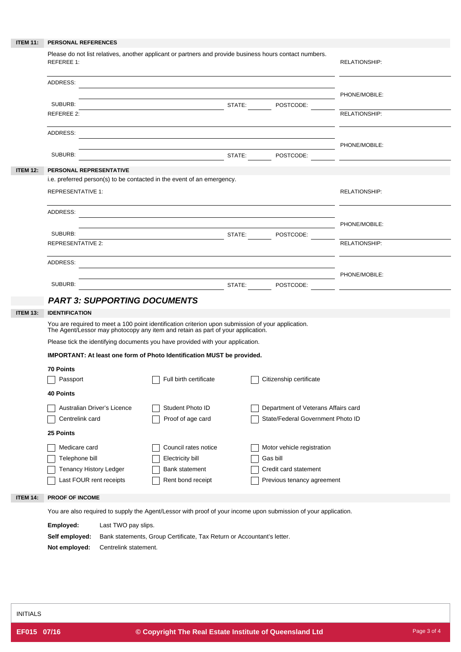| <b>ITEM 11:</b> | PERSONAL REFERENCES                                                                                                                                               |                                                                        |  |                                                                          |                      |  |
|-----------------|-------------------------------------------------------------------------------------------------------------------------------------------------------------------|------------------------------------------------------------------------|--|--------------------------------------------------------------------------|----------------------|--|
|                 | Please do not list relatives, another applicant or partners and provide business hours contact numbers.<br><b>REFEREE 1:</b>                                      |                                                                        |  |                                                                          | <b>RELATIONSHIP:</b> |  |
|                 | ADDRESS:                                                                                                                                                          |                                                                        |  |                                                                          |                      |  |
|                 | SUBURB:                                                                                                                                                           | <b>STATE:</b> POSTCODE:                                                |  |                                                                          | PHONE/MOBILE:        |  |
|                 | REFEREE 2:                                                                                                                                                        |                                                                        |  |                                                                          | <b>RELATIONSHIP:</b> |  |
|                 | ADDRESS:                                                                                                                                                          | PHONE/MOBILE:                                                          |  |                                                                          |                      |  |
|                 | SUBURB:                                                                                                                                                           |                                                                        |  |                                                                          |                      |  |
| <b>ITEM 12:</b> | PERSONAL REPRESENTATIVE                                                                                                                                           |                                                                        |  |                                                                          |                      |  |
|                 | i.e. preferred person(s) to be contacted in the event of an emergency.<br><b>REPRESENTATIVE 1:</b>                                                                |                                                                        |  |                                                                          | <b>RELATIONSHIP:</b> |  |
|                 | ADDRESS:                                                                                                                                                          |                                                                        |  |                                                                          |                      |  |
|                 | SUBURB:                                                                                                                                                           | <b>Example 2018</b> STATE: POSTCODE:                                   |  |                                                                          | PHONE/MOBILE:        |  |
|                 | <b>REPRESENTATIVE 2:</b>                                                                                                                                          |                                                                        |  |                                                                          | RELATIONSHIP:        |  |
|                 | ADDRESS:                                                                                                                                                          |                                                                        |  |                                                                          | PHONE/MOBILE:        |  |
|                 | SUBURB:                                                                                                                                                           | STATE: POSTCODE:                                                       |  |                                                                          |                      |  |
|                 | <b>PART 3: SUPPORTING DOCUMENTS</b>                                                                                                                               |                                                                        |  |                                                                          |                      |  |
| <b>ITEM 13:</b> | <b>IDENTIFICATION</b><br>You are required to meet a 100 point identification criterion upon submission of your application.                                       |                                                                        |  |                                                                          |                      |  |
|                 | The Agent/Lessor may photocopy any item and retain as part of your application.<br>Please tick the identifying documents you have provided with your application. |                                                                        |  |                                                                          |                      |  |
|                 | IMPORTANT: At least one form of Photo Identification MUST be provided.                                                                                            |                                                                        |  |                                                                          |                      |  |
|                 | 70 Points<br>Passport                                                                                                                                             | Full birth certificate                                                 |  | Citizenship certificate                                                  |                      |  |
|                 | <b>40 Points</b>                                                                                                                                                  |                                                                        |  |                                                                          |                      |  |
|                 | Australian Driver's Licence<br>Centrelink card                                                                                                                    | Student Photo ID<br>Proof of age card                                  |  | Department of Veterans Affairs card<br>State/Federal Government Photo ID |                      |  |
|                 | 25 Points                                                                                                                                                         |                                                                        |  |                                                                          |                      |  |
|                 | Medicare card                                                                                                                                                     | Council rates notice                                                   |  | Motor vehicle registration                                               |                      |  |
|                 | Telephone bill                                                                                                                                                    | Electricity bill                                                       |  | Gas bill                                                                 |                      |  |
|                 | Tenancy History Ledger                                                                                                                                            | <b>Bank statement</b>                                                  |  | Credit card statement                                                    |                      |  |
|                 | Last FOUR rent receipts                                                                                                                                           | Rent bond receipt                                                      |  | Previous tenancy agreement                                               |                      |  |
| <b>ITEM 14:</b> | PROOF OF INCOME                                                                                                                                                   |                                                                        |  |                                                                          |                      |  |
|                 | You are also required to supply the Agent/Lessor with proof of your income upon submission of your application.<br>Employed:<br>Last TWO pay slips.               |                                                                        |  |                                                                          |                      |  |
|                 | Self employed:                                                                                                                                                    | Bank statements, Group Certificate, Tax Return or Accountant's letter. |  |                                                                          |                      |  |
|                 |                                                                                                                                                                   |                                                                        |  |                                                                          |                      |  |

**Not employed:** Centrelink statement.